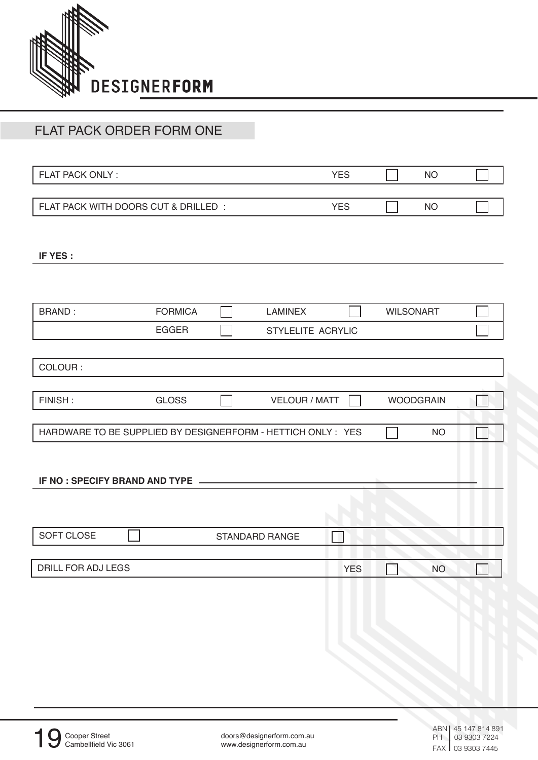

## FLAT PACK ORDER FORM ONE

FLAT PACK ONLY :

FLAT PACK WITH DOORS CUT & DRILLED :

**IF YES :**

| <b>BRAND:</b>                                                | <b>FORMICA</b> | <b>LAMINEX</b>        |            | <b>WILSONART</b> |           |  |
|--------------------------------------------------------------|----------------|-----------------------|------------|------------------|-----------|--|
|                                                              | <b>EGGER</b>   | STYLELITE ACRYLIC     |            |                  |           |  |
|                                                              |                |                       |            |                  |           |  |
| COLOUR:                                                      |                |                       |            |                  |           |  |
|                                                              |                |                       |            |                  |           |  |
| FINISH:                                                      | <b>GLOSS</b>   | <b>VELOUR / MATT</b>  |            | <b>WOODGRAIN</b> |           |  |
|                                                              |                |                       |            |                  |           |  |
| HARDWARE TO BE SUPPLIED BY DESIGNERFORM - HETTICH ONLY : YES |                |                       |            |                  | <b>NO</b> |  |
|                                                              |                |                       |            |                  |           |  |
| IF NO : SPECIFY BRAND AND TYPE ________                      |                |                       |            |                  |           |  |
|                                                              |                |                       |            |                  |           |  |
|                                                              |                |                       |            |                  |           |  |
|                                                              |                |                       |            |                  |           |  |
| SOFT CLOSE                                                   |                | <b>STANDARD RANGE</b> |            |                  |           |  |
|                                                              |                |                       |            |                  |           |  |
| DRILL FOR ADJ LEGS                                           |                |                       | <b>YES</b> |                  | <b>NO</b> |  |
|                                                              |                |                       |            |                  |           |  |

YES

NO

NO

YES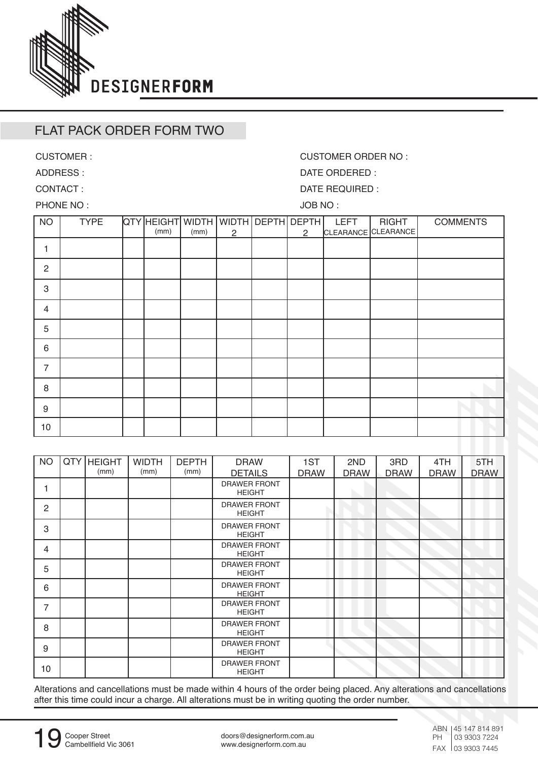

## FLAT PACK ORDER FORM TWO

CUSTOMER :

ADDRESS : CONTACT :

CUSTOMER ORDER NO :

DATE ORDERED :

DATE REQUIRED :

PHONE NO :

JOB NO :

| <b>NO</b>      | <b>TYPE</b> | QTY HEIGHT WIDTH WIDTH DEPTH DEPTH<br>(mm) | (mm) | $\overline{2}$ | 2 | <b>LEFT</b> | <b>RIGHT</b><br>CLEARANCE CLEARANCE | <b>COMMENTS</b> |
|----------------|-------------|--------------------------------------------|------|----------------|---|-------------|-------------------------------------|-----------------|
|                |             |                                            |      |                |   |             |                                     |                 |
| $\overline{2}$ |             |                                            |      |                |   |             |                                     |                 |
| 3              |             |                                            |      |                |   |             |                                     |                 |
| $\overline{4}$ |             |                                            |      |                |   |             |                                     |                 |
| 5              |             |                                            |      |                |   |             |                                     |                 |
| 6              |             |                                            |      |                |   |             |                                     |                 |
| $\overline{7}$ |             |                                            |      |                |   |             |                                     |                 |
| 8              |             |                                            |      |                |   |             |                                     |                 |
| 9              |             |                                            |      |                |   |             |                                     |                 |
| 10             |             |                                            |      |                |   |             |                                     |                 |

| <b>NO</b>      | QTY HEIGHT<br>(mm) | <b>WIDTH</b><br>(mm) | <b>DEPTH</b><br>(mm) | <b>DRAW</b><br><b>DETAILS</b>        | 1ST<br><b>DRAW</b> | 2ND<br><b>DRAW</b> | 3RD<br><b>DRAW</b> | 4TH<br><b>DRAW</b> | 5TH<br><b>DRAW</b> |
|----------------|--------------------|----------------------|----------------------|--------------------------------------|--------------------|--------------------|--------------------|--------------------|--------------------|
| 1              |                    |                      |                      | <b>DRAWER FRONT</b><br><b>HEIGHT</b> |                    |                    |                    |                    |                    |
| $\overline{2}$ |                    |                      |                      | <b>DRAWER FRONT</b><br><b>HEIGHT</b> |                    |                    |                    |                    |                    |
| 3              |                    |                      |                      | DRAWER FRONT<br><b>HEIGHT</b>        |                    |                    |                    |                    |                    |
| 4              |                    |                      |                      | <b>DRAWER FRONT</b><br><b>HEIGHT</b> |                    |                    |                    |                    |                    |
| 5              |                    |                      |                      | DRAWER FRONT<br><b>HEIGHT</b>        |                    |                    |                    |                    |                    |
| 6              |                    |                      |                      | <b>DRAWER FRONT</b><br><b>HEIGHT</b> |                    |                    |                    |                    |                    |
| 7              |                    |                      |                      | <b>DRAWER FRONT</b><br><b>HEIGHT</b> |                    |                    |                    |                    |                    |
| 8              |                    |                      |                      | <b>DRAWER FRONT</b><br><b>HEIGHT</b> |                    |                    |                    |                    |                    |
| 9              |                    |                      |                      | <b>DRAWER FRONT</b><br><b>HEIGHT</b> |                    |                    |                    |                    |                    |
| 10             |                    |                      |                      | <b>DRAWER FRONT</b><br><b>HEIGHT</b> |                    |                    |                    |                    |                    |

Alterations and cancellations must be made within 4 hours of the order being placed. Any alterations and cancellations after this time could incur a charge. All alterations must be in writing quoting the order number.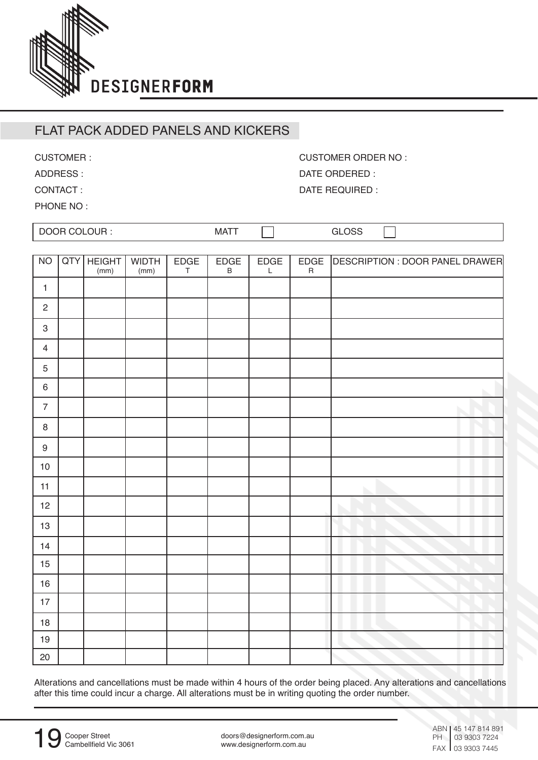

## FLAT PACK ADDED PANELS AND KICKERS

CUSTOMER :

ADDRESS :

CONTACT :

PHONE NO:

| COLOUR:<br>DOOn. | MAT | . — .<br>ے ں |  |
|------------------|-----|--------------|--|

| <b>NO</b>                 | QTY | <b>HEIGHT</b><br>(mm) | <b>WIDTH</b><br>(mm) | $\frac{\mathsf{EDGE}}{\mathsf{T}}$ | EDGE<br>$\sf B$ | EDGE<br>$\mathsf L$ | EDGE<br>$\sf R$ | DESCRIPTION : DOOR PANEL DRAWER |
|---------------------------|-----|-----------------------|----------------------|------------------------------------|-----------------|---------------------|-----------------|---------------------------------|
| $\mathbf{1}$              |     |                       |                      |                                    |                 |                     |                 |                                 |
| $\sqrt{2}$                |     |                       |                      |                                    |                 |                     |                 |                                 |
| $\ensuremath{\mathsf{3}}$ |     |                       |                      |                                    |                 |                     |                 |                                 |
| $\overline{4}$            |     |                       |                      |                                    |                 |                     |                 |                                 |
| $\mathbf 5$               |     |                       |                      |                                    |                 |                     |                 |                                 |
| $\,6\,$                   |     |                       |                      |                                    |                 |                     |                 |                                 |
| $\overline{7}$            |     |                       |                      |                                    |                 |                     |                 |                                 |
| $\,8\,$                   |     |                       |                      |                                    |                 |                     |                 |                                 |
| $\boldsymbol{9}$          |     |                       |                      |                                    |                 |                     |                 |                                 |
| $10$                      |     |                       |                      |                                    |                 |                     |                 |                                 |
| 11                        |     |                       |                      |                                    |                 |                     |                 |                                 |
| 12                        |     |                       |                      |                                    |                 |                     |                 |                                 |
| $13\,$                    |     |                       |                      |                                    |                 |                     |                 |                                 |
| 14                        |     |                       |                      |                                    |                 |                     |                 |                                 |
| 15                        |     |                       |                      |                                    |                 |                     |                 |                                 |
| $16\,$                    |     |                       |                      |                                    |                 |                     |                 |                                 |
| 17                        |     |                       |                      |                                    |                 |                     |                 |                                 |
| $18$                      |     |                       |                      |                                    |                 |                     |                 |                                 |
| $19$                      |     |                       |                      |                                    |                 |                     |                 |                                 |
| 20                        |     |                       |                      |                                    |                 |                     |                 |                                 |

Alterations and cancellations must be made within 4 hours of the order being placed. Any alterations and cancellations after this time could incur a charge. All alterations must be in writing quoting the order number.

Cooper Street

19

doors@designerform.com.au www.designerform.com.au

CUSTOMER ORDER NO : DATE ORDERED : DATE REQUIRED :